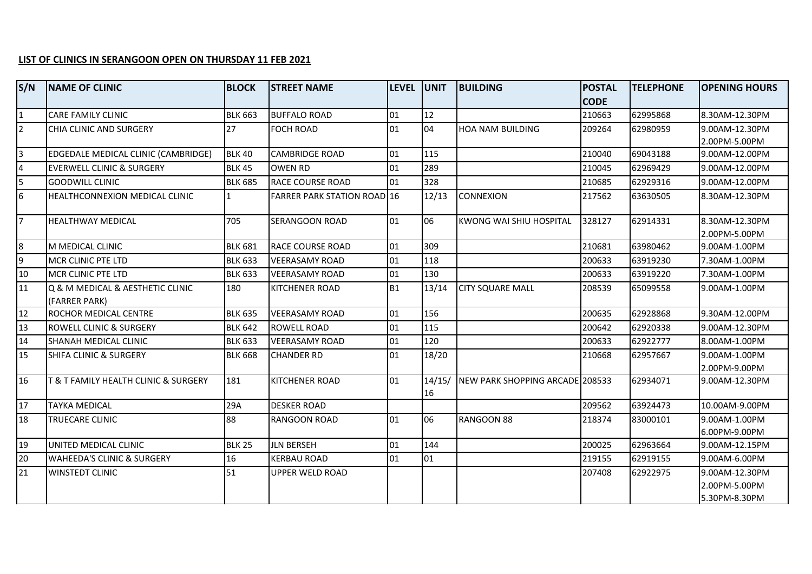## **LIST OF CLINICS IN SERANGOON OPEN ON THURSDAY 11 FEB 2021**

| S/N             | <b>NAME OF CLINIC</b>                 | <b>BLOCK</b>   | <b>STREET NAME</b>                 | LEVEL UNIT |              | <b>BUILDING</b>                 | <b>POSTAL</b> | <b>TELEPHONE</b> | <b>OPENING HOURS</b>           |
|-----------------|---------------------------------------|----------------|------------------------------------|------------|--------------|---------------------------------|---------------|------------------|--------------------------------|
|                 |                                       |                |                                    |            |              |                                 | <b>CODE</b>   |                  |                                |
| $\mathbf{1}$    | <b>CARE FAMILY CLINIC</b>             | <b>BLK 663</b> | <b>BUFFALO ROAD</b>                | 01         | 12           |                                 | 210663        | 62995868         | 8.30AM-12.30PM                 |
| $\overline{2}$  | CHIA CLINIC AND SURGERY               | 27             | <b>FOCH ROAD</b>                   | 01         | 04           | <b>HOA NAM BUILDING</b>         | 209264        | 62980959         | 9.00AM-12.30PM                 |
|                 |                                       |                |                                    |            |              |                                 |               |                  | 2.00PM-5.00PM                  |
| $\overline{3}$  | EDGEDALE MEDICAL CLINIC (CAMBRIDGE)   | <b>BLK 40</b>  | <b>CAMBRIDGE ROAD</b>              | 01         | 115          |                                 | 210040        | 69043188         | 9.00AM-12.00PM                 |
| $\overline{4}$  | <b>EVERWELL CLINIC &amp; SURGERY</b>  | <b>BLK 45</b>  | <b>OWEN RD</b>                     | 01         | 289          |                                 | 210045        | 62969429         | 9.00AM-12.00PM                 |
| 5               | <b>GOODWILL CLINIC</b>                | <b>BLK 685</b> | <b>RACE COURSE ROAD</b>            | 01         | 328          |                                 | 210685        | 62929316         | 9.00AM-12.00PM                 |
| $6\overline{6}$ | <b>HEALTHCONNEXION MEDICAL CLINIC</b> | 1              | <b>FARRER PARK STATION ROAD 16</b> |            | 12/13        | <b>CONNEXION</b>                | 217562        | 63630505         | 8.30AM-12.30PM                 |
| $\overline{7}$  | <b>HEALTHWAY MEDICAL</b>              | 705            | SERANGOON ROAD                     | 01         | 06           | KWONG WAI SHIU HOSPITAL         | 328127        | 62914331         | 8.30AM-12.30PM                 |
| l8              | IM MEDICAL CLINIC                     | <b>BLK 681</b> | <b>RACE COURSE ROAD</b>            | 01         | 309          |                                 | 210681        | 63980462         | 2.00PM-5.00PM<br>9.00AM-1.00PM |
| 9               |                                       |                |                                    |            |              |                                 |               |                  |                                |
|                 | MCR CLINIC PTE LTD                    | <b>BLK 633</b> | <b>VEERASAMY ROAD</b>              | 01         | 118          |                                 | 200633        | 63919230         | 7.30AM-1.00PM                  |
| 10              | MCR CLINIC PTE LTD                    | <b>BLK 633</b> | <b>VEERASAMY ROAD</b>              | 01         | 130          |                                 | 200633        | 63919220         | 7.30AM-1.00PM                  |
| 11              | Q & M MEDICAL & AESTHETIC CLINIC      | 180            | <b>KITCHENER ROAD</b>              | B1         | 13/14        | <b>CITY SQUARE MALL</b>         | 208539        | 65099558         | 9.00AM-1.00PM                  |
|                 | (FARRER PARK)                         |                |                                    |            |              |                                 |               |                  |                                |
| 12              | ROCHOR MEDICAL CENTRE                 | <b>BLK 635</b> | <b>VEERASAMY ROAD</b>              | 01         | 156          |                                 | 200635        | 62928868         | 9.30AM-12.00PM                 |
| 13              | <b>ROWELL CLINIC &amp; SURGERY</b>    | <b>BLK 642</b> | <b>ROWELL ROAD</b>                 | 01         | 115          |                                 | 200642        | 62920338         | 9.00AM-12.30PM                 |
| 14              | SHANAH MEDICAL CLINIC                 | <b>BLK 633</b> | <b>VEERASAMY ROAD</b>              | 01         | 120          |                                 | 200633        | 62922777         | 8.00AM-1.00PM                  |
| 15              | SHIFA CLINIC & SURGERY                | <b>BLK 668</b> | <b>CHANDER RD</b>                  | 01         | 18/20        |                                 | 210668        | 62957667         | 9.00AM-1.00PM                  |
|                 |                                       |                |                                    |            |              |                                 |               |                  | 2.00PM-9.00PM                  |
| 16              | T & T FAMILY HEALTH CLINIC & SURGERY  | 181            | KITCHENER ROAD                     | 01         | 14/15/<br>16 | NEW PARK SHOPPING ARCADE 208533 |               | 62934071         | 9.00AM-12.30PM                 |
| <b>17</b>       | <b>TAYKA MEDICAL</b>                  | 29A            | <b>DESKER ROAD</b>                 |            |              |                                 | 209562        | 63924473         | 10.00AM-9.00PM                 |
| 18              | TRUECARE CLINIC                       | 88             | RANGOON ROAD                       | 01         | 06           | RANGOON 88                      | 218374        | 83000101         | 9.00AM-1.00PM                  |
|                 |                                       |                |                                    |            |              |                                 |               |                  | 6.00PM-9.00PM                  |
| 19              | UNITED MEDICAL CLINIC                 | <b>BLK 25</b>  | <b>JLN BERSEH</b>                  | 01         | 144          |                                 | 200025        | 62963664         | 9.00AM-12.15PM                 |
| 20              | <b>WAHEEDA'S CLINIC &amp; SURGERY</b> | 16             | <b>KERBAU ROAD</b>                 | 01         | 01           |                                 | 219155        | 62919155         | 9.00AM-6.00PM                  |
| 21              | <b>WINSTEDT CLINIC</b>                | 51             | <b>UPPER WELD ROAD</b>             |            |              |                                 | 207408        | 62922975         | 9.00AM-12.30PM                 |
|                 |                                       |                |                                    |            |              |                                 |               |                  | 2.00PM-5.00PM                  |
|                 |                                       |                |                                    |            |              |                                 |               |                  | 5.30PM-8.30PM                  |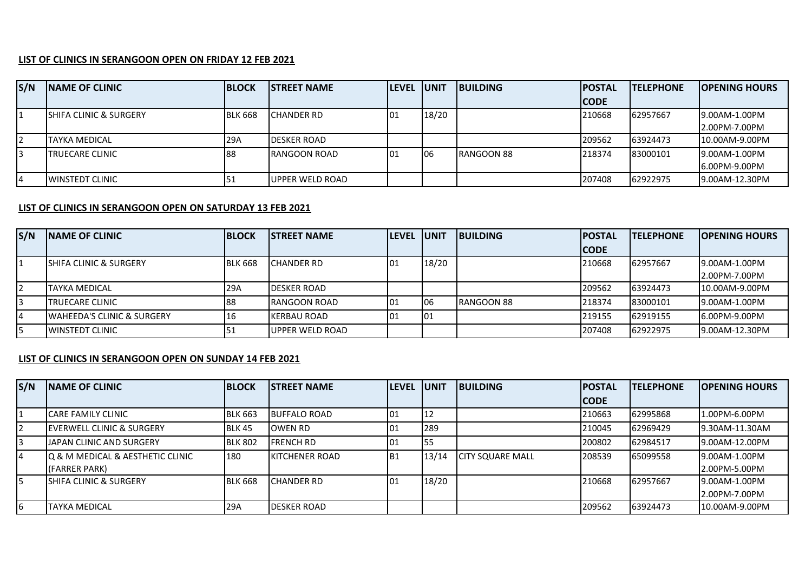## **LIST OF CLINICS IN SERANGOON OPEN ON FRIDAY 12 FEB 2021**

| S/N | <b>INAME OF CLINIC</b>  | <b>BLOCK</b>   | <b>ISTREET NAME</b>  | <b>ILEVEL JUNIT</b> |       | <b>BUILDING</b> | <b>IPOSTAL</b> | <b>ITELEPHONE</b> | <b>IOPENING HOURS</b> |
|-----|-------------------------|----------------|----------------------|---------------------|-------|-----------------|----------------|-------------------|-----------------------|
|     |                         |                |                      |                     |       |                 | <b>CODE</b>    |                   |                       |
| 11  | SHIFA CLINIC & SURGERY  | <b>BLK 668</b> | <b>CHANDER RD</b>    | 101                 | 18/20 |                 | 210668         | 62957667          | 19.00AM-1.00PM        |
|     |                         |                |                      |                     |       |                 |                |                   | 2.00PM-7.00PM         |
| 12  | <b>TAYKA MEDICAL</b>    | 29A            | <b>DESKER ROAD</b>   |                     |       |                 | 209562         | 63924473          | 10.00AM-9.00PM        |
| I3  | TRUECARE CLINIC         | 188            | <b>IRANGOON ROAD</b> | 101                 | 106   | RANGOON 88      | 218374         | 83000101          | 19.00AM-1.00PM        |
|     |                         |                |                      |                     |       |                 |                |                   | 16.00PM-9.00PM        |
| 14  | <b>IWINSTEDT CLINIC</b> |                | UPPER WELD ROAD      |                     |       |                 | 207408         | 62922975          | 9.00AM-12.30PM        |

## **LIST OF CLINICS IN SERANGOON OPEN ON SATURDAY 13 FEB 2021**

| S/N | <b>INAME OF CLINIC</b>                 | <b>BLOCK</b>   | <b>ISTREET NAME</b>     | <b>ILEVEL JUNIT</b> |       | <b>IBUILDING</b>  | <b>IPOSTAL</b> | <b>ITELEPHONE</b> | <b>IOPENING HOURS</b> |
|-----|----------------------------------------|----------------|-------------------------|---------------------|-------|-------------------|----------------|-------------------|-----------------------|
|     |                                        |                |                         |                     |       |                   | <b>CODE</b>    |                   |                       |
|     | <b>ISHIFA CLINIC &amp; SURGERY</b>     | <b>BLK 668</b> | <b>CHANDER RD</b>       | 101                 | 18/20 |                   | 210668         | 62957667          | 19.00AM-1.00PM        |
|     |                                        |                |                         |                     |       |                   |                |                   | 2.00PM-7.00PM         |
|     | <b>TAYKA MEDICAL</b>                   | 29A            | <b>IDESKER ROAD</b>     |                     |       |                   | 209562         | 63924473          | 10.00AM-9.00PM        |
| I3  | <b>ITRUECARE CLINIC</b>                | 188            | <b>RANGOON ROAD</b>     | 101                 | 06    | <b>RANGOON 88</b> | 218374         | 83000101          | 19.00AM-1.00PM        |
| 14  | <b>IWAHEEDA'S CLINIC &amp; SURGERY</b> | 16             | <b>KERBAU ROAD</b>      | 01                  | 101   |                   | 219155         | 62919155          | 16.00PM-9.00PM        |
| I5  | <b>IWINSTEDT CLINIC</b>                |                | <b>IUPPER WELD ROAD</b> |                     |       |                   | 207408         | 62922975          | 19.00AM-12.30PM       |

## **LIST OF CLINICS IN SERANGOON OPEN ON SUNDAY 14 FEB 2021**

| S/N | <b>NAME OF CLINIC</b>                                            | <b>BLOCK</b>   | <b>ISTREET NAME</b>    | <b>LEVEL</b> | <b>JUNIT</b> | <b>IBUILDING</b>         | <b>POSTAL</b> | <b>ITELEPHONE</b> | <b>OPENING HOURS</b>            |
|-----|------------------------------------------------------------------|----------------|------------------------|--------------|--------------|--------------------------|---------------|-------------------|---------------------------------|
|     |                                                                  |                |                        |              |              |                          | <b>CODE</b>   |                   |                                 |
|     | ICARE FAMILY CLINIC                                              | <b>BLK 663</b> | <b>BUFFALO ROAD</b>    | 01           |              |                          | 210663        | 62995868          | 1.00PM-6.00PM                   |
|     | <b>IEVERWELL CLINIC &amp; SURGERY</b>                            | BLK 45         | OWEN RD                | 101          | 289          |                          | 210045        | 62969429          | 9.30AM-11.30AM                  |
| 3   | <b>JJAPAN CLINIC AND SURGERY</b>                                 | <b>BLK 802</b> | <b>FRENCH RD</b>       | 101          | 155          |                          | 200802        | 62984517          | 19.00AM-12.00PM                 |
| 4   | <b>Q &amp; M MEDICAL &amp; AESTHETIC CLINIC</b><br>(FARRER PARK) | 180            | <b>IKITCHENER ROAD</b> | IB1          | 13/14        | <b>ICITY SQUARE MALL</b> | 208539        | 65099558          | 9.00AM-1.00PM<br>2.00PM-5.00PM  |
| l5  | <b>ISHIFA CLINIC &amp; SURGERY</b>                               | <b>BLK 668</b> | <b>ICHANDER RD</b>     | 01           | 18/20        |                          | 210668        | 62957667          | 19.00AM-1.00PM<br>2.00PM-7.00PM |
| 6   | <b>ITAYKA MEDICAL</b>                                            | 29A            | <b>DESKER ROAD</b>     |              |              |                          | 209562        | 63924473          | 10.00AM-9.00PM                  |